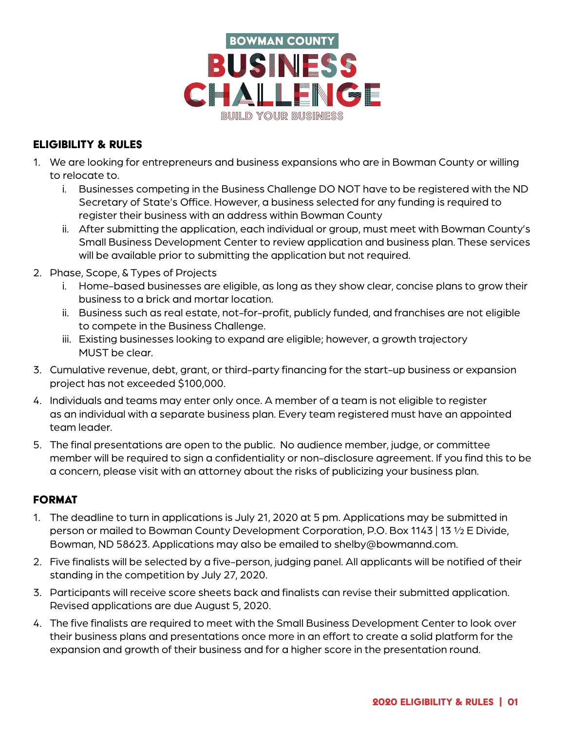

## Eligibility & Rules

- 1. We are looking for entrepreneurs and business expansions who are in Bowman County or willing to relocate to.
	- i. Businesses competing in the Business Challenge DO NOT have to be registered with the ND Secretary of State's Office. However, a business selected for any funding is required to register their business with an address within Bowman County
	- ii. After submitting the application, each individual or group, must meet with Bowman County's Small Business Development Center to review application and business plan. These services will be available prior to submitting the application but not required.
- 2. Phase, Scope, & Types of Projects
	- i. Home-based businesses are eligible, as long as they show clear, concise plans to grow their business to a brick and mortar location.
	- ii. Business such as real estate, not-for-profit, publicly funded, and franchises are not eligible to compete in the Business Challenge.
	- iii. Existing businesses looking to expand are eligible; however, a growth trajectory MUST be clear.
- 3. Cumulative revenue, debt, grant, or third-party financing for the start-up business or expansion project has not exceeded \$100,000.
- 4. Individuals and teams may enter only once. A member of a team is not eligible to register as an individual with a separate business plan. Every team registered must have an appointed team leader.
- 5. The final presentations are open to the public. No audience member, judge, or committee member will be required to sign a confidentiality or non-disclosure agreement. If you find this to be a concern, please visit with an attorney about the risks of publicizing your business plan.

# **FORMAT**

- 1. The deadline to turn in applications is July 21, 2020 at 5 pm. Applications may be submitted in person or mailed to Bowman County Development Corporation, P.O. Box 1143 | 13 ½ E Divide, Bowman, ND 58623. Applications may also be emailed to shelby@bowmannd.com.
- 2. Five finalists will be selected by a five-person, judging panel. All applicants will be notified of their standing in the competition by July 27, 2020.
- 3. Participants will receive score sheets back and finalists can revise their submitted application. Revised applications are due August 5, 2020.
- 4. The five finalists are required to meet with the Small Business Development Center to look over their business plans and presentations once more in an effort to create a solid platform for the expansion and growth of their business and for a higher score in the presentation round.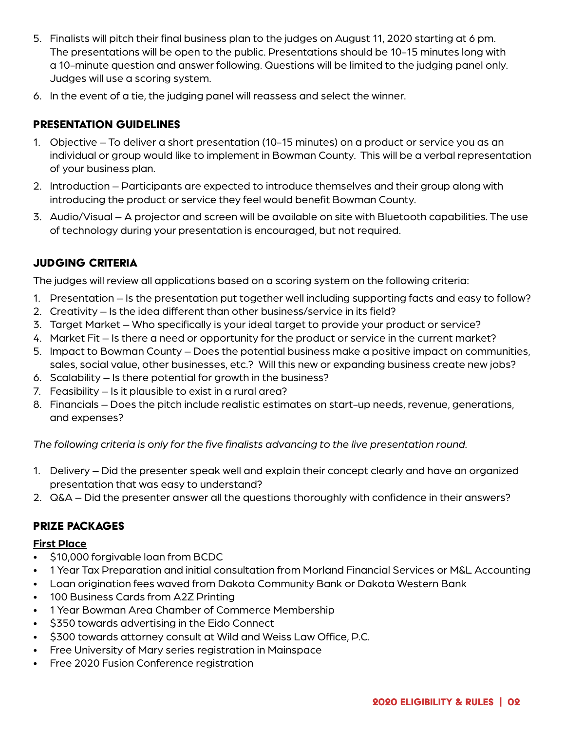- 5. Finalists will pitch their final business plan to the judges on August 11, 2020 starting at 6 pm. The presentations will be open to the public. Presentations should be 10-15 minutes long with a 10-minute question and answer following. Questions will be limited to the judging panel only. Judges will use a scoring system.
- 6. In the event of a tie, the judging panel will reassess and select the winner.

## Presentation guidelines

- 1. Objective To deliver a short presentation (10-15 minutes) on a product or service you as an individual or group would like to implement in Bowman County. This will be a verbal representation of your business plan.
- 2. Introduction Participants are expected to introduce themselves and their group along with introducing the product or service they feel would benefit Bowman County.
- 3. Audio/Visual A projector and screen will be available on site with Bluetooth capabilities. The use of technology during your presentation is encouraged, but not required.

## Judging Criteria

The judges will review all applications based on a scoring system on the following criteria:

- 1. Presentation Is the presentation put together well including supporting facts and easy to follow?
- 2. Creativity Is the idea different than other business/service in its field?
- 3. Target Market Who specifically is your ideal target to provide your product or service?
- 4. Market Fit Is there a need or opportunity for the product or service in the current market?
- 5. Impact to Bowman County Does the potential business make a positive impact on communities, sales, social value, other businesses, etc.? Will this new or expanding business create new jobs?
- 6. Scalability Is there potential for growth in the business?
- 7. Feasibility Is it plausible to exist in a rural area?
- 8. Financials Does the pitch include realistic estimates on start-up needs, revenue, generations, and expenses?

*The following criteria is only for the five finalists advancing to the live presentation round.*

- 1. Delivery Did the presenter speak well and explain their concept clearly and have an organized presentation that was easy to understand?
- 2. Q&A Did the presenter answer all the questions thoroughly with confidence in their answers?

### Prize Packages

#### **First Place**

- \$10,000 forgivable loan from BCDC
- 1 Year Tax Preparation and initial consultation from Morland Financial Services or M&L Accounting
- Loan origination fees waved from Dakota Community Bank or Dakota Western Bank
- 100 Business Cards from A2Z Printing
- 1 Year Bowman Area Chamber of Commerce Membership
- \$350 towards advertising in the Eido Connect
- \$300 towards attorney consult at Wild and Weiss Law Office, P.C.
- Free University of Mary series registration in Mainspace
- Free 2020 Fusion Conference registration